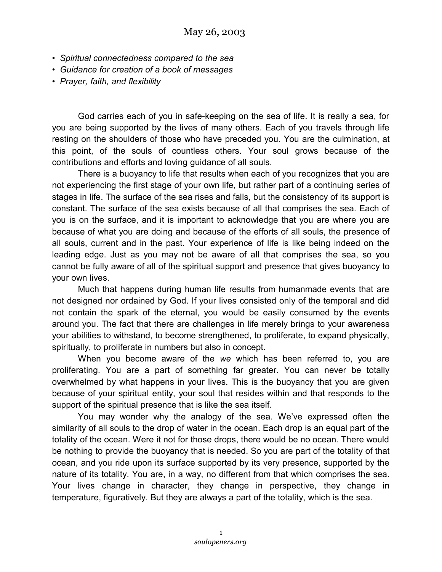- *Spiritual connectedness compared to the sea*
- *Guidance for creation of a book of messages*
- *Prayer, faith, and flexibility*

God carries each of you in safe-keeping on the sea of life. It is really a sea, for you are being supported by the lives of many others. Each of you travels through life resting on the shoulders of those who have preceded you. You are the culmination, at this point, of the souls of countless others. Your soul grows because of the contributions and efforts and loving guidance of all souls.

There is a buoyancy to life that results when each of you recognizes that you are not experiencing the first stage of your own life, but rather part of a continuing series of stages in life. The surface of the sea rises and falls, but the consistency of its support is constant. The surface of the sea exists because of all that comprises the sea. Each of you is on the surface, and it is important to acknowledge that you are where you are because of what you are doing and because of the efforts of all souls, the presence of all souls, current and in the past. Your experience of life is like being indeed on the leading edge. Just as you may not be aware of all that comprises the sea, so you cannot be fully aware of all of the spiritual support and presence that gives buoyancy to your own lives.

Much that happens during human life results from humanmade events that are not designed nor ordained by God. If your lives consisted only of the temporal and did not contain the spark of the eternal, you would be easily consumed by the events around you. The fact that there are challenges in life merely brings to your awareness your abilities to withstand, to become strengthened, to proliferate, to expand physically, spiritually, to proliferate in numbers but also in concept.

When you become aware of the *we* which has been referred to, you are proliferating. You are a part of something far greater. You can never be totally overwhelmed by what happens in your lives. This is the buoyancy that you are given because of your spiritual entity, your soul that resides within and that responds to the support of the spiritual presence that is like the sea itself.

You may wonder why the analogy of the sea. We've expressed often the similarity of all souls to the drop of water in the ocean. Each drop is an equal part of the totality of the ocean. Were it not for those drops, there would be no ocean. There would be nothing to provide the buoyancy that is needed. So you are part of the totality of that ocean, and you ride upon its surface supported by its very presence, supported by the nature of its totality. You are, in a way, no different from that which comprises the sea. Your lives change in character, they change in perspective, they change in temperature, figuratively. But they are always a part of the totality, which is the sea.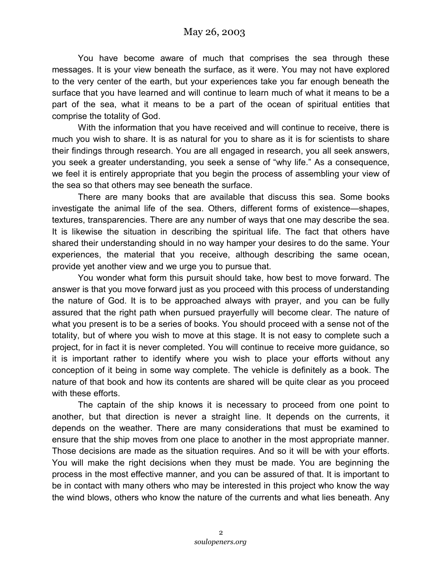You have become aware of much that comprises the sea through these messages. It is your view beneath the surface, as it were. You may not have explored to the very center of the earth, but your experiences take you far enough beneath the surface that you have learned and will continue to learn much of what it means to be a part of the sea, what it means to be a part of the ocean of spiritual entities that comprise the totality of God.

With the information that you have received and will continue to receive, there is much you wish to share. It is as natural for you to share as it is for scientists to share their findings through research. You are all engaged in research, you all seek answers, you seek a greater understanding, you seek a sense of "why life." As a consequence, we feel it is entirely appropriate that you begin the process of assembling your view of the sea so that others may see beneath the surface.

There are many books that are available that discuss this sea. Some books investigate the animal life of the sea. Others, different forms of existence—shapes, textures, transparencies. There are any number of ways that one may describe the sea. It is likewise the situation in describing the spiritual life. The fact that others have shared their understanding should in no way hamper your desires to do the same. Your experiences, the material that you receive, although describing the same ocean, provide yet another view and we urge you to pursue that.

You wonder what form this pursuit should take, how best to move forward. The answer is that you move forward just as you proceed with this process of understanding the nature of God. It is to be approached always with prayer, and you can be fully assured that the right path when pursued prayerfully will become clear. The nature of what you present is to be a series of books. You should proceed with a sense not of the totality, but of where you wish to move at this stage. It is not easy to complete such a project, for in fact it is never completed. You will continue to receive more guidance, so it is important rather to identify where you wish to place your efforts without any conception of it being in some way complete. The vehicle is definitely as a book. The nature of that book and how its contents are shared will be quite clear as you proceed with these efforts.

The captain of the ship knows it is necessary to proceed from one point to another, but that direction is never a straight line. It depends on the currents, it depends on the weather. There are many considerations that must be examined to ensure that the ship moves from one place to another in the most appropriate manner. Those decisions are made as the situation requires. And so it will be with your efforts. You will make the right decisions when they must be made. You are beginning the process in the most effective manner, and you can be assured of that. It is important to be in contact with many others who may be interested in this project who know the way the wind blows, others who know the nature of the currents and what lies beneath. Any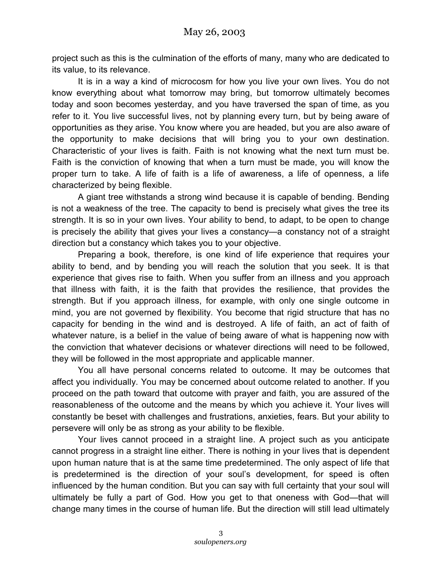project such as this is the culmination of the efforts of many, many who are dedicated to its value, to its relevance.

It is in a way a kind of microcosm for how you live your own lives. You do not know everything about what tomorrow may bring, but tomorrow ultimately becomes today and soon becomes yesterday, and you have traversed the span of time, as you refer to it. You live successful lives, not by planning every turn, but by being aware of opportunities as they arise. You know where you are headed, but you are also aware of the opportunity to make decisions that will bring you to your own destination. Characteristic of your lives is faith. Faith is not knowing what the next turn must be. Faith is the conviction of knowing that when a turn must be made, you will know the proper turn to take. A life of faith is a life of awareness, a life of openness, a life characterized by being flexible.

A giant tree withstands a strong wind because it is capable of bending. Bending is not a weakness of the tree. The capacity to bend is precisely what gives the tree its strength. It is so in your own lives. Your ability to bend, to adapt, to be open to change is precisely the ability that gives your lives a constancy—a constancy not of a straight direction but a constancy which takes you to your objective.

Preparing a book, therefore, is one kind of life experience that requires your ability to bend, and by bending you will reach the solution that you seek. It is that experience that gives rise to faith. When you suffer from an illness and you approach that illness with faith, it is the faith that provides the resilience, that provides the strength. But if you approach illness, for example, with only one single outcome in mind, you are not governed by flexibility. You become that rigid structure that has no capacity for bending in the wind and is destroyed. A life of faith, an act of faith of whatever nature, is a belief in the value of being aware of what is happening now with the conviction that whatever decisions or whatever directions will need to be followed, they will be followed in the most appropriate and applicable manner.

You all have personal concerns related to outcome. It may be outcomes that affect you individually. You may be concerned about outcome related to another. If you proceed on the path toward that outcome with prayer and faith, you are assured of the reasonableness of the outcome and the means by which you achieve it. Your lives will constantly be beset with challenges and frustrations, anxieties, fears. But your ability to persevere will only be as strong as your ability to be flexible.

Your lives cannot proceed in a straight line. A project such as you anticipate cannot progress in a straight line either. There is nothing in your lives that is dependent upon human nature that is at the same time predetermined. The only aspect of life that is predetermined is the direction of your soul's development, for speed is often influenced by the human condition. But you can say with full certainty that your soul will ultimately be fully a part of God. How you get to that oneness with God—that will change many times in the course of human life. But the direction will still lead ultimately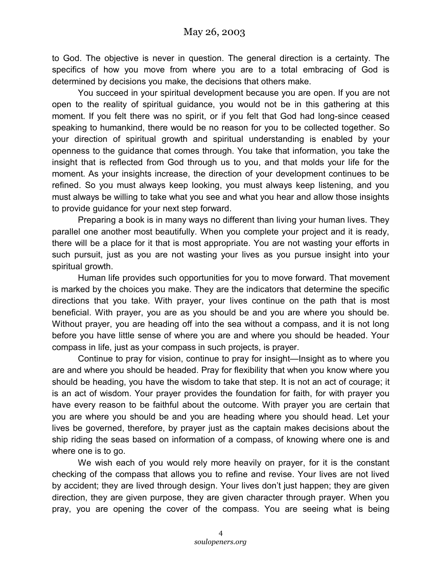to God. The objective is never in question. The general direction is a certainty. The specifics of how you move from where you are to a total embracing of God is determined by decisions you make, the decisions that others make.

You succeed in your spiritual development because you are open. If you are not open to the reality of spiritual guidance, you would not be in this gathering at this moment. If you felt there was no spirit, or if you felt that God had long-since ceased speaking to humankind, there would be no reason for you to be collected together. So your direction of spiritual growth and spiritual understanding is enabled by your openness to the guidance that comes through. You take that information, you take the insight that is reflected from God through us to you, and that molds your life for the moment. As your insights increase, the direction of your development continues to be refined. So you must always keep looking, you must always keep listening, and you must always be willing to take what you see and what you hear and allow those insights to provide guidance for your next step forward.

Preparing a book is in many ways no different than living your human lives. They parallel one another most beautifully. When you complete your project and it is ready, there will be a place for it that is most appropriate. You are not wasting your efforts in such pursuit, just as you are not wasting your lives as you pursue insight into your spiritual growth.

Human life provides such opportunities for you to move forward. That movement is marked by the choices you make. They are the indicators that determine the specific directions that you take. With prayer, your lives continue on the path that is most beneficial. With prayer, you are as you should be and you are where you should be. Without prayer, you are heading off into the sea without a compass, and it is not long before you have little sense of where you are and where you should be headed. Your compass in life, just as your compass in such projects, is prayer.

Continue to pray for vision, continue to pray for insight—Insight as to where you are and where you should be headed. Pray for flexibility that when you know where you should be heading, you have the wisdom to take that step. It is not an act of courage; it is an act of wisdom. Your prayer provides the foundation for faith, for with prayer you have every reason to be faithful about the outcome. With prayer you are certain that you are where you should be and you are heading where you should head. Let your lives be governed, therefore, by prayer just as the captain makes decisions about the ship riding the seas based on information of a compass, of knowing where one is and where one is to go.

We wish each of you would rely more heavily on prayer, for it is the constant checking of the compass that allows you to refine and revise. Your lives are not lived by accident; they are lived through design. Your lives don't just happen; they are given direction, they are given purpose, they are given character through prayer. When you pray, you are opening the cover of the compass. You are seeing what is being